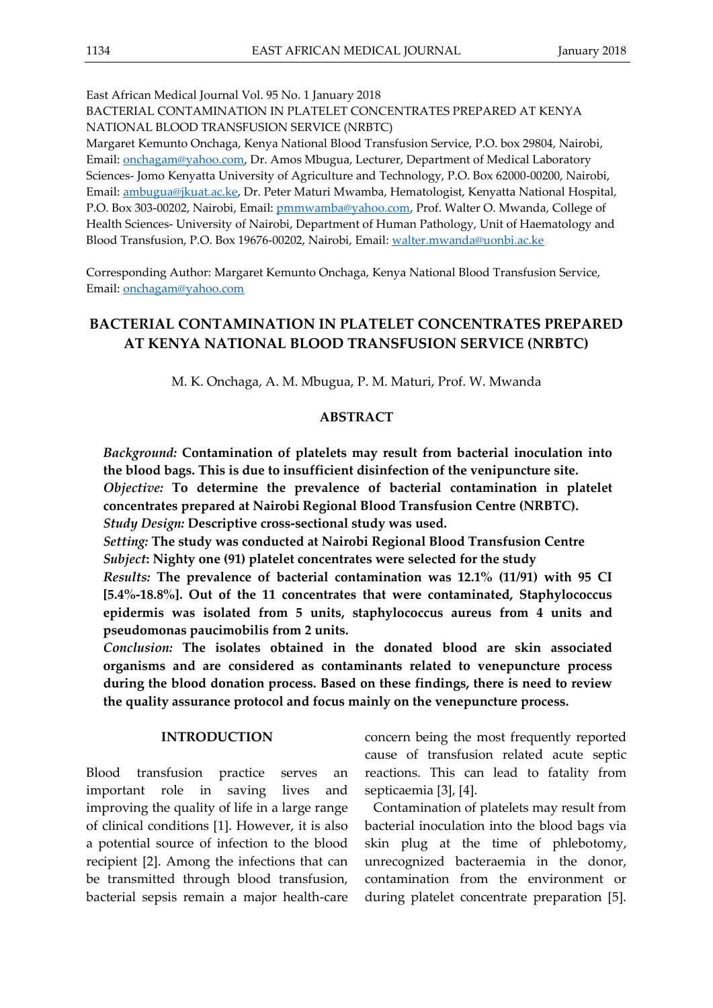East African Medical Journal Vol. 95 No. 1 January 2018 BACTERIAL CONTAMINATION IN PLATELET CONCENTRATES PREPARED AT KENYA NATIONAL BLOOD TRANSFUSION SERVICE (NRBTC) Margaret Kemunto Onchaga, Kenya National Blood Transfusion Service, P.O. box 29804, Nairobi, Email: [onchagam@yahoo.com,](mailto:onchagam@yahoo.com) Dr. Amos Mbugua, Lecturer, Department of Medical Laboratory

Sciences- Jomo Kenyatta University of Agriculture and Technology, P.O. Box 62000-00200, Nairobi, Email: [ambugua@jkuat.ac.ke,](mailto:ambugua@jkuat.ac.ke) Dr. Peter Maturi Mwamba, Hematologist, Kenyatta National Hospital, P.O. Box 303-00202, Nairobi, Email: [pmmwamba@yahoo.com,](mailto:pmmwamba@yahoo.com) Prof. Walter O. Mwanda, College of Health Sciences- University of Nairobi, Department of Human Pathology, Unit of Haematology and Blood Transfusion, P.O. Box 19676-00202, Nairobi, Email: [walter.mwanda@uonbi.ac.ke](mailto:walter.mwanda@uonbi.ac.ke)

Corresponding Author: Margaret Kemunto Onchaga, Kenya National Blood Transfusion Service, Email: [onchagam@yahoo.com](mailto:onchagam@yahoo.com)

# **BACTERIAL CONTAMINATION IN PLATELET CONCENTRATES PREPARED AT KENYA NATIONAL BLOOD TRANSFUSION SERVICE (NRBTC)**

M. K. Onchaga, A. M. Mbugua, P. M. Maturi, Prof. W. Mwanda

### **ABSTRACT**

*Background:* **Contamination of platelets may result from bacterial inoculation into the blood bags. This is due to insufficient disinfection of the venipuncture site.** *Objective:* **To determine the prevalence of bacterial contamination in platelet concentrates prepared at Nairobi Regional Blood Transfusion Centre (NRBTC).** *Study Design:* **Descriptive cross-sectional study was used.**

*Setting:* **The study was conducted at Nairobi Regional Blood Transfusion Centre** *Subject***: Nighty one (91) platelet concentrates were selected for the study**

*Results:* **The prevalence of bacterial contamination was 12.1% (11/91) with 95 CI [5.4%-18.8%]. Out of the 11 concentrates that were contaminated, Staphylococcus epidermis was isolated from 5 units, staphylococcus aureus from 4 units and pseudomonas paucimobilis from 2 units.**

*Conclusion:* **The isolates obtained in the donated blood are skin associated organisms and are considered as contaminants related to venepuncture process during the blood donation process. Based on these findings, there is need to review the quality assurance protocol and focus mainly on the venepuncture process.**

#### **INTRODUCTION**

Blood transfusion practice serves an important role in saving lives and improving the quality of life in a large range of clinical conditions [1]. However, it is also a potential source of infection to the blood recipient [2]. Among the infections that can be transmitted through blood transfusion, bacterial sepsis remain a major health-care

concern being the most frequently reported cause of transfusion related acute septic reactions. This can lead to fatality from septicaemia [3], [4].

Contamination of platelets may result from bacterial inoculation into the blood bags via skin plug at the time of phlebotomy, unrecognized bacteraemia in the donor, contamination from the environment or during platelet concentrate preparation [5].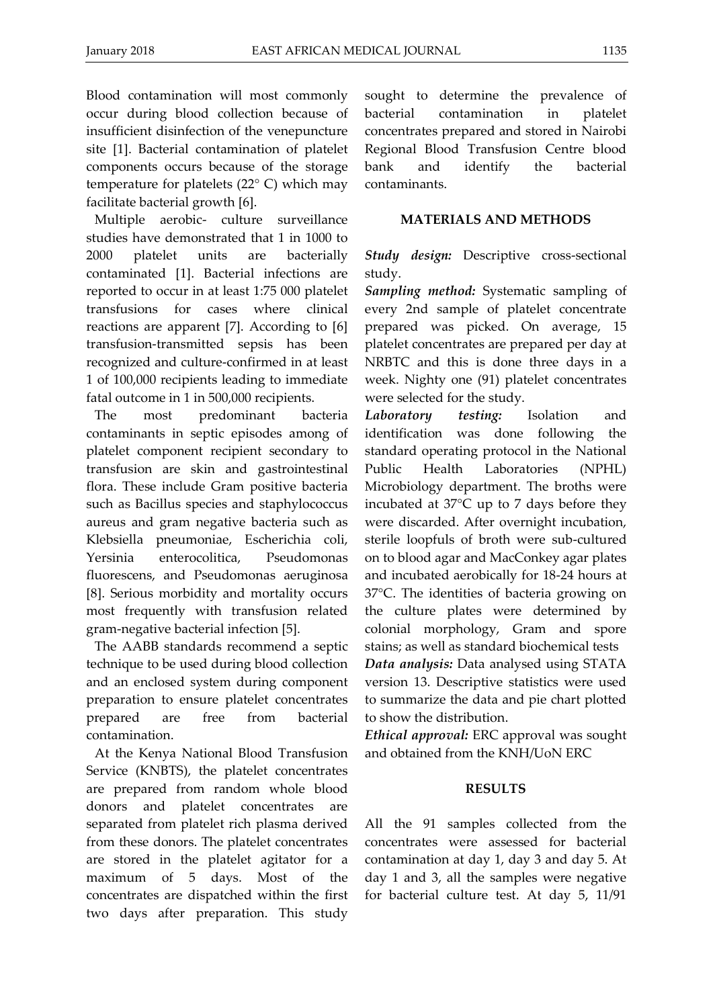Blood contamination will most commonly occur during blood collection because of insufficient disinfection of the venepuncture site [1]. Bacterial contamination of platelet components occurs because of the storage temperature for platelets (22° C) which may facilitate bacterial growth [6].

Multiple aerobic- culture surveillance studies have demonstrated that 1 in 1000 to 2000 platelet units are bacterially contaminated [1]. Bacterial infections are reported to occur in at least 1:75 000 platelet transfusions for cases where clinical reactions are apparent [7]. According to [6] transfusion-transmitted sepsis has been recognized and culture-confirmed in at least 1 of 100,000 recipients leading to immediate fatal outcome in 1 in 500,000 recipients.

The most predominant bacteria contaminants in septic episodes among of platelet component recipient secondary to transfusion are skin and gastrointestinal flora. These include Gram positive bacteria such as Bacillus species and staphylococcus aureus and gram negative bacteria such as Klebsiella pneumoniae, Escherichia coli, Yersinia enterocolitica, Pseudomonas fluorescens, and Pseudomonas aeruginosa [8]. Serious morbidity and mortality occurs most frequently with transfusion related gram-negative bacterial infection [5].

The AABB standards recommend a septic technique to be used during blood collection and an enclosed system during component preparation to ensure platelet concentrates prepared are free from bacterial contamination.

At the Kenya National Blood Transfusion Service (KNBTS), the platelet concentrates are prepared from random whole blood donors and platelet concentrates are separated from platelet rich plasma derived from these donors. The platelet concentrates are stored in the platelet agitator for a maximum of 5 days. Most of the concentrates are dispatched within the first two days after preparation. This study sought to determine the prevalence of bacterial contamination in platelet concentrates prepared and stored in Nairobi Regional Blood Transfusion Centre blood bank and identify the bacterial contaminants.

# **MATERIALS AND METHODS**

*Study design:* Descriptive cross-sectional study.

*Sampling method:* Systematic sampling of every 2nd sample of platelet concentrate prepared was picked. On average, 15 platelet concentrates are prepared per day at NRBTC and this is done three days in a week. Nighty one (91) platelet concentrates were selected for the study.

*Laboratory testing:* Isolation and identification was done following the standard operating protocol in the National Public Health Laboratories (NPHL) Microbiology department. The broths were incubated at 37°C up to 7 days before they were discarded. After overnight incubation, sterile loopfuls of broth were sub-cultured on to blood agar and MacConkey agar plates and incubated aerobically for 18-24 hours at 37°C. The identities of bacteria growing on the culture plates were determined by colonial morphology, Gram and spore stains; as well as standard biochemical tests *Data analysis:* Data analysed using STATA version 13. Descriptive statistics were used to summarize the data and pie chart plotted to show the distribution.

*Ethical approval:* ERC approval was sought and obtained from the KNH/UoN ERC

# **RESULTS**

All the 91 samples collected from the concentrates were assessed for bacterial contamination at day 1, day 3 and day 5. At day 1 and 3, all the samples were negative for bacterial culture test. At day 5, 11/91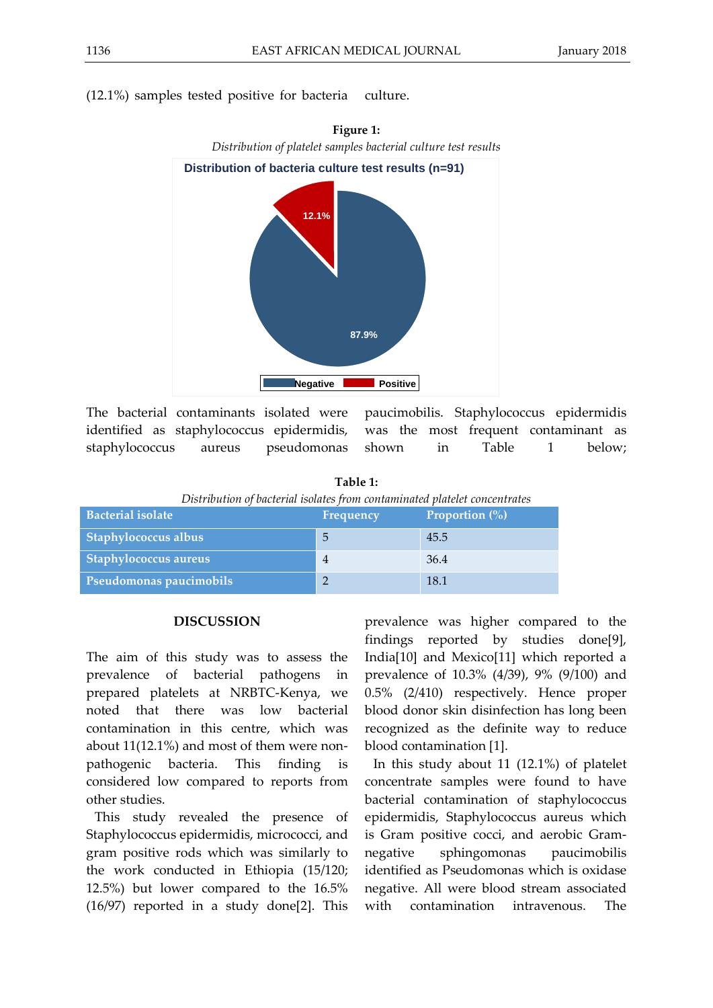(12.1%) samples tested positive for bacteria culture.



The bacterial contaminants isolated were identified as staphylococcus epidermidis, staphylococcus aureus pseudomonas

paucimobilis. Staphylococcus epidermidis was the most frequent contaminant as shown in Table 1 below;

**Table 1:**

| Distribution of bacterial isolates from contaminated platelet concentrates |
|----------------------------------------------------------------------------|
|----------------------------------------------------------------------------|

| <b>Bacterial isolate</b> | Frequency | <b>Proportion</b> $\left(\frac{0}{0}\right)$ |
|--------------------------|-----------|----------------------------------------------|
| Staphylococcus albus     | 5         | 45.5                                         |
| Staphylococcus aureus    |           | 36.4                                         |
| Pseudomonas paucimobils  |           | 18.1                                         |

# **DISCUSSION**

The aim of this study was to assess the prevalence of bacterial pathogens in prepared platelets at NRBTC-Kenya, we noted that there was low bacterial contamination in this centre, which was about 11(12.1%) and most of them were nonpathogenic bacteria. This finding is considered low compared to reports from other studies.

This study revealed the presence of Staphylococcus epidermidis, micrococci, and gram positive rods which was similarly to the work conducted in Ethiopia (15/120; 12.5%) but lower compared to the 16.5% (16/97) reported in a study done[2]. This

prevalence was higher compared to the findings reported by studies done[9], India[10] and Mexico[11] which reported a prevalence of 10.3% (4/39), 9% (9/100) and 0.5% (2/410) respectively. Hence proper blood donor skin disinfection has long been recognized as the definite way to reduce blood contamination [1].

In this study about 11 (12.1%) of platelet concentrate samples were found to have bacterial contamination of staphylococcus epidermidis, Staphylococcus aureus which is Gram positive cocci, and aerobic Gramnegative sphingomonas paucimobilis identified as Pseudomonas which is oxidase negative. All were blood stream associated with contamination intravenous. The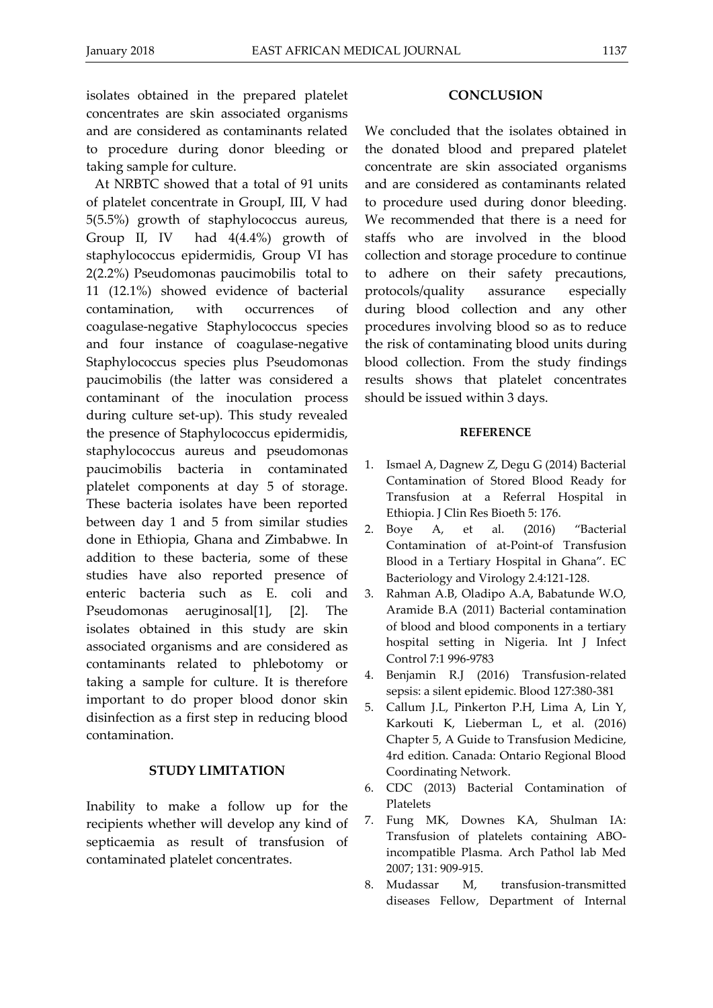isolates obtained in the prepared platelet concentrates are skin associated organisms and are considered as contaminants related to procedure during donor bleeding or taking sample for culture.

At NRBTC showed that a total of 91 units of platelet concentrate in GroupI, III, V had 5(5.5%) growth of staphylococcus aureus, Group II, IV had 4(4.4%) growth of staphylococcus epidermidis, Group VI has 2(2.2%) Pseudomonas paucimobilis total to 11 (12.1%) showed evidence of bacterial contamination, with occurrences of coagulase-negative Staphylococcus species and four instance of coagulase-negative Staphylococcus species plus Pseudomonas paucimobilis (the latter was considered a contaminant of the inoculation process during culture set-up). This study revealed the presence of Staphylococcus epidermidis, staphylococcus aureus and pseudomonas paucimobilis bacteria in contaminated platelet components at day 5 of storage. These bacteria isolates have been reported between day 1 and 5 from similar studies done in Ethiopia, Ghana and Zimbabwe. In addition to these bacteria, some of these studies have also reported presence of enteric bacteria such as E. coli and Pseudomonas aeruginosal[1], [2]. The isolates obtained in this study are skin associated organisms and are considered as contaminants related to phlebotomy or taking a sample for culture. It is therefore important to do proper blood donor skin disinfection as a first step in reducing blood contamination.

### **STUDY LIMITATION**

Inability to make a follow up for the recipients whether will develop any kind of septicaemia as result of transfusion of contaminated platelet concentrates.

### **CONCLUSION**

We concluded that the isolates obtained in the donated blood and prepared platelet concentrate are skin associated organisms and are considered as contaminants related to procedure used during donor bleeding. We recommended that there is a need for staffs who are involved in the blood collection and storage procedure to continue to adhere on their safety precautions, protocols/quality assurance especially during blood collection and any other procedures involving blood so as to reduce the risk of contaminating blood units during blood collection. From the study findings results shows that platelet concentrates should be issued within 3 days.

#### **REFERENCE**

- 1. Ismael A, Dagnew Z, Degu G (2014) Bacterial Contamination of Stored Blood Ready for Transfusion at a Referral Hospital in Ethiopia. J Clin Res Bioeth 5: 176.
- 2. Boye A, et al. (2016) "Bacterial Contamination of at-Point-of Transfusion Blood in a Tertiary Hospital in Ghana". EC Bacteriology and Virology 2.4:121-128.
- 3. Rahman A.B, Oladipo A.A, Babatunde W.O, Aramide B.A (2011) Bacterial contamination of blood and blood components in a tertiary hospital setting in Nigeria. Int J Infect Control 7:1 996-9783
- 4. Benjamin R.J (2016) Transfusion-related sepsis: a silent epidemic. Blood 127:380-381
- 5. Callum J.L, Pinkerton P.H, Lima A, Lin Y, Karkouti K, Lieberman L, et al. (2016) Chapter 5, A Guide to Transfusion Medicine, 4rd edition. Canada: Ontario Regional Blood Coordinating Network.
- 6. CDC (2013) Bacterial Contamination of Platelets
- 7. Fung MK, Downes KA, Shulman IA: Transfusion of platelets containing ABOincompatible Plasma. Arch Pathol lab Med 2007; 131: 909-915.
- 8. Mudassar M, transfusion-transmitted diseases Fellow, Department of Internal